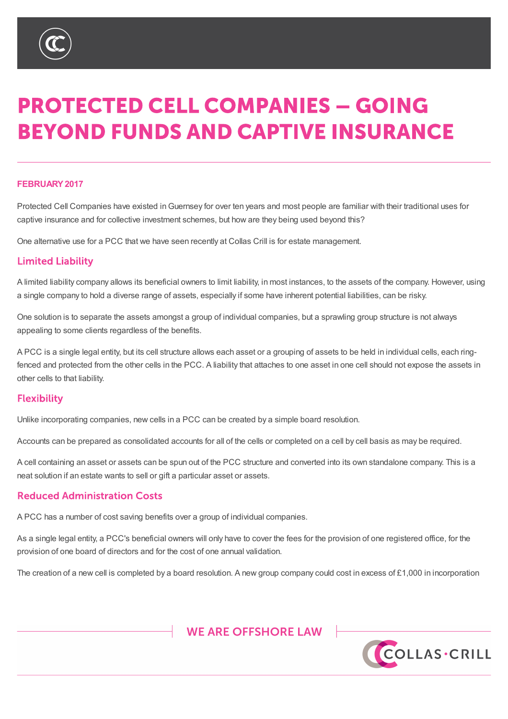

# **PROTECTED CELL COMPANIES - GOING BEYOND FUNDS AND CAPTIVE INSURANCE**

### **FEBRUARY2017**

Protected Cell Companies have existed inGuernsey for over ten years and most people are familiar with their traditional uses for captive insurance and for collective investment schemes, but how are they being used beyond this?

One alternative use for a PCC that we have seen recently at Collas Crill is for estate management.

### **Limited Liability**

A limited liability company allows its beneficial owners to limit liability, in most instances, to the assets of the company. However, using a single company to hold a diverse range of assets, especially if some have inherent potential liabilities, can be risky.

One solution is to separate the assets amongst a group of individual companies, but a sprawling group structure is not always appealing to some clients regardless of the benefits.

A PCC is a single legal entity, but its cell structure allows each asset or a grouping of assets to be held in individual cells, each ringfenced and protected from the other cells in the PCC. A liability that attaches to one asset in one cell should not expose the assets in other cells to that liability.

## **Flexibility**

Unlike incorporating companies, new cells in a PCC can be created by a simple board resolution.

Accounts can be prepared as consolidated accounts for all of the cells or completed on a cell by cell basis as may be required.

A cell containing an asset or assets can be spun out of the PCC structure and converted into its own standalone company. This is a neat solution if an estate wants to sell or gift a particular asset or assets.

#### **Reduced Administration Costs**

A PCC has a number of cost saving benefits over a group of individual companies.

As a single legal entity, a PCC's beneficial owners will only have to cover the fees for the provision of one registered office, for the provision of one board of directors and for the cost of one annual validation.

The creation of a new cell is completed by a board resolution. A new group company could cost in excess of  $£1,000$  in incorporation



EH VRXJKW:KLOVWHYHU\FDUH KDV EHHQ WDNHQ LQ SURGXFLQ PDWWHUTVALISMANIALISMANIALISMANIALISMANIALISMANIALISMANIALISMANIALISMANIALISMANIALISMANIALISMANIALISMANIALISMA<br>VHWRXWLQLW\$OOFRS\ULJKWLQ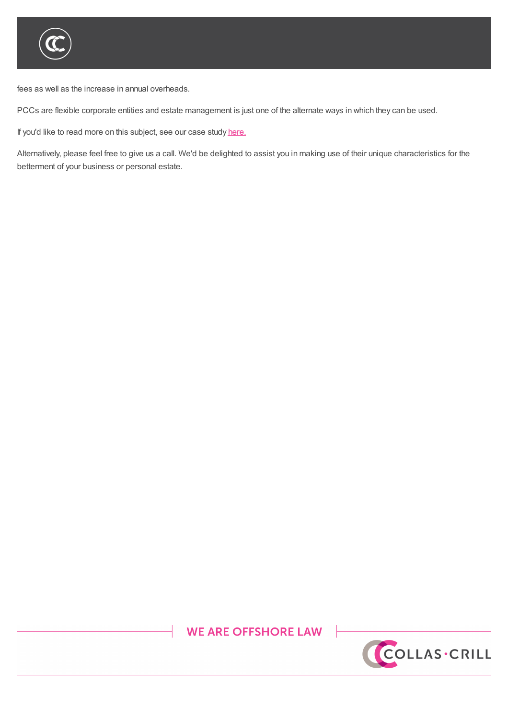

## XXX U P IVI IVI D I |

fees as well as the increase in annual overheads.

PCCs are flexible corporate entities and estate management is just one of the alternate ways in which they can be used.

If you'd like to read more on this subject, see our case study here.

Alternatively, please feel free to give us a call. We'd be delighted to assist you in making use of their unique characteristics for the betterment of your business or personal estate.

The creation of a new cell is completed by a board resolution. A new group company control cost in excess of  $\mathbb{R}^n$